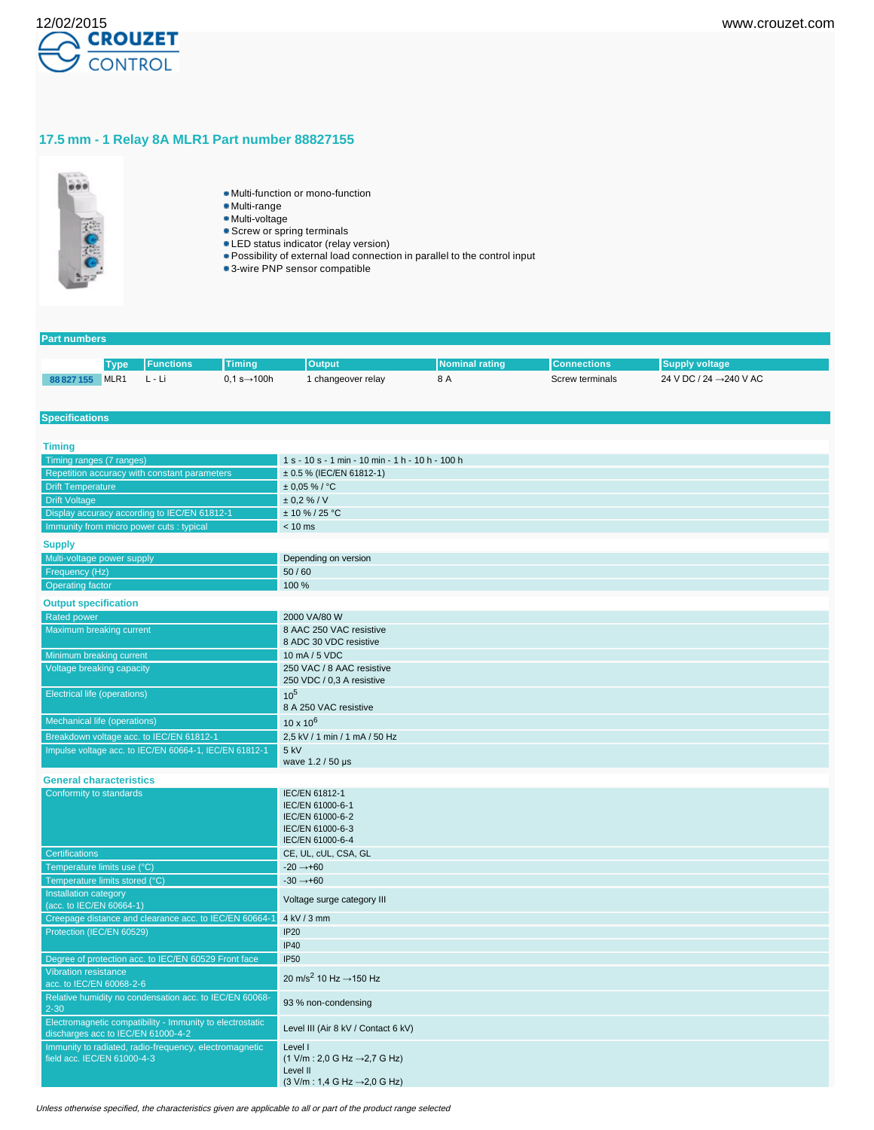

# **17.5 mm - 1 Relay 8A MLR1 Part number 88827155**



- Multi-function or mono-function
- Multi-range
- Multi-voltage
- **Screw or spring terminals**
- **LED** status indicator (relay version)
- Possibility of external load connection in parallel to the control input
- 3-wire PNP sensor compatible

#### **Part numbers**

|            | <b>Type</b>      | <b>I</b> Functions | <b>Timina</b>            | <b>Output</b>    | <b>INominal rating</b> | <b>IConnections</b> | <b>Supply voltage</b> , |
|------------|------------------|--------------------|--------------------------|------------------|------------------------|---------------------|-------------------------|
| 88 827 155 | MLR <sub>1</sub> | L - Li             | $0.1 s \rightarrow 100h$ | changeover relay | -8 A                   | Screw terminals     | 24 V DC / 24 → 240 V AC |

#### **Specifications**

| <b>Timing</b>                                                                                   |                                                                                                                                                               |
|-------------------------------------------------------------------------------------------------|---------------------------------------------------------------------------------------------------------------------------------------------------------------|
| Timing ranges (7 ranges)                                                                        | 1 s - 10 s - 1 min - 10 min - 1 h - 10 h - 100 h                                                                                                              |
| Repetition accuracy with constant parameters                                                    | ± 0.5 % (IEC/EN 61812-1)                                                                                                                                      |
| <b>Drift Temperature</b>                                                                        | $± 0.05 \%$ / °C                                                                                                                                              |
| <b>Drift Voltage</b>                                                                            | ± 0.2 % / V                                                                                                                                                   |
| Display accuracy according to IEC/EN 61812-1                                                    | $± 10 \% / 25 °C$                                                                                                                                             |
| Immunity from micro power cuts : typical                                                        | $< 10$ ms                                                                                                                                                     |
| <b>Supply</b>                                                                                   |                                                                                                                                                               |
| Multi-voltage power supply                                                                      | Depending on version                                                                                                                                          |
| Frequency (Hz)                                                                                  | 50/60                                                                                                                                                         |
| <b>Operating factor</b>                                                                         | 100 %                                                                                                                                                         |
| <b>Output specification</b>                                                                     |                                                                                                                                                               |
| <b>Rated power</b>                                                                              | 2000 VA/80 W                                                                                                                                                  |
| Maximum breaking current                                                                        | 8 AAC 250 VAC resistive<br>8 ADC 30 VDC resistive                                                                                                             |
| Minimum breaking current                                                                        | 10 mA / 5 VDC                                                                                                                                                 |
| Voltage breaking capacity                                                                       | 250 VAC / 8 AAC resistive<br>250 VDC / 0,3 A resistive                                                                                                        |
| <b>Electrical life (operations)</b>                                                             | 10 <sup>5</sup><br>8 A 250 VAC resistive                                                                                                                      |
| Mechanical life (operations)                                                                    | $10 \times 10^{6}$                                                                                                                                            |
| Breakdown voltage acc. to IEC/EN 61812-1                                                        | 2,5 kV / 1 min / 1 mA / 50 Hz                                                                                                                                 |
| Impulse voltage acc. to IEC/EN 60664-1, IEC/EN 61812-1                                          | 5 kV<br>wave 1.2 / 50 µs                                                                                                                                      |
| <b>General characteristics</b>                                                                  |                                                                                                                                                               |
| Conformity to standards                                                                         | IEC/EN 61812-1<br>IEC/EN 61000-6-1<br>IEC/EN 61000-6-2<br>IEC/EN 61000-6-3<br>IEC/EN 61000-6-4                                                                |
| <b>Certifications</b>                                                                           | CE, UL, cUL, CSA, GL                                                                                                                                          |
| Temperature limits use (°C)                                                                     | $-20 \rightarrow +60$                                                                                                                                         |
| Temperature limits stored (°C)                                                                  | $-30 \rightarrow +60$                                                                                                                                         |
| Installation category<br>(acc. to IEC/EN 60664-1)                                               | Voltage surge category III                                                                                                                                    |
| Creepage distance and clearance acc. to IEC/EN 60664-1                                          | 4 kV / 3 mm                                                                                                                                                   |
| Protection (IEC/EN 60529)                                                                       | IP20                                                                                                                                                          |
|                                                                                                 | <b>IP40</b>                                                                                                                                                   |
| Degree of protection acc. to IEC/EN 60529 Front face                                            | <b>IP50</b>                                                                                                                                                   |
| <b>Vibration resistance</b>                                                                     |                                                                                                                                                               |
| acc. to IEC/EN 60068-2-6                                                                        | 20 m/s <sup>2</sup> 10 Hz $\rightarrow$ 150 Hz                                                                                                                |
| Relative humidity no condensation acc. to IEC/EN 60068-<br>$2 - 30$                             | 93 % non-condensing                                                                                                                                           |
| Electromagnetic compatibility - Immunity to electrostatic<br>discharges acc to IEC/EN 61000-4-2 | Level III (Air 8 kV / Contact 6 kV)                                                                                                                           |
| Immunity to radiated, radio-frequency, electromagnetic<br>field acc. IEC/EN 61000-4-3           | Level I<br>$(1 \text{ V/m} : 2,0 \text{ G Hz} \rightarrow 2,7 \text{ G Hz})$<br>Level II<br>$(3 \text{ V/m} : 1.4 \text{ G Hz} \rightarrow 2.0 \text{ G Hz})$ |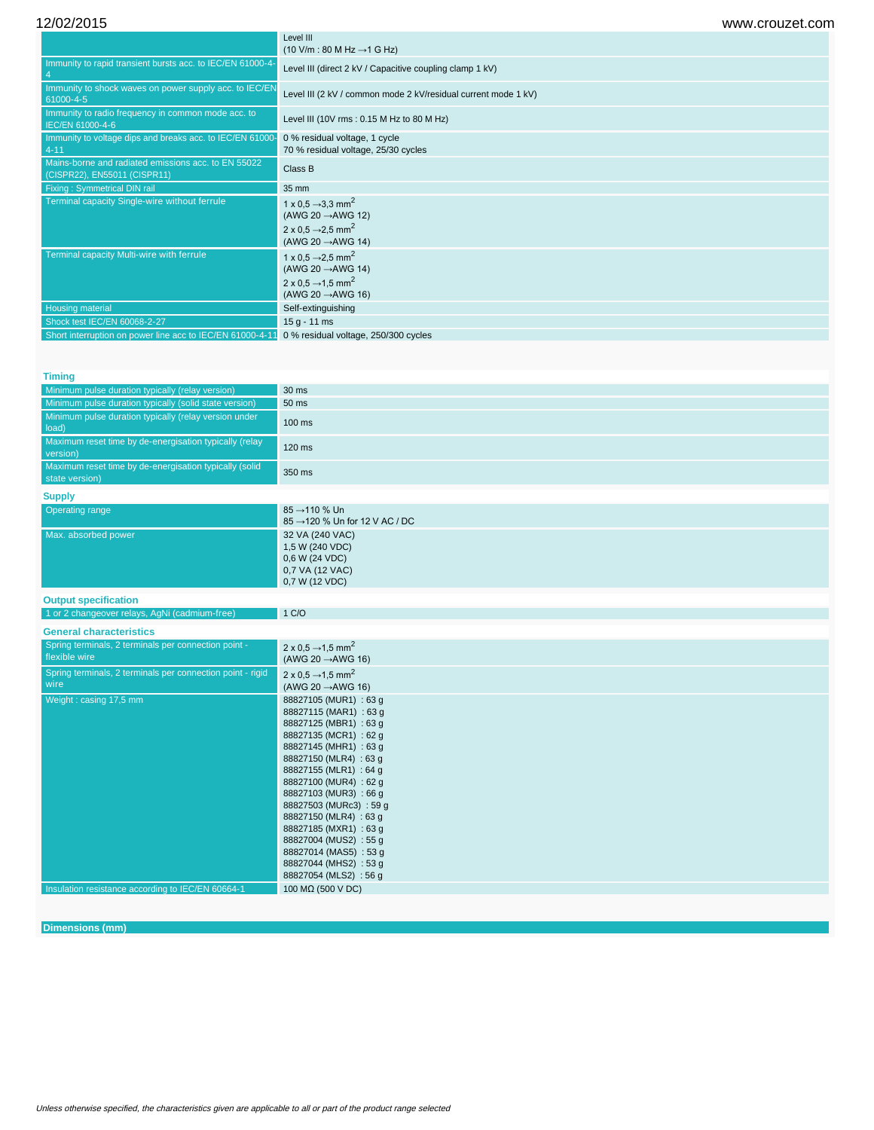12/02/2015 www.crouzet.com

|                                                                                     | Level III<br>$(10 \text{ V/m} : 80 \text{ M Hz} \rightarrow 1 \text{ G Hz})$                                                                               |
|-------------------------------------------------------------------------------------|------------------------------------------------------------------------------------------------------------------------------------------------------------|
| Immunity to rapid transient bursts acc. to IEC/EN 61000-4-                          | Level III (direct 2 kV / Capacitive coupling clamp 1 kV)                                                                                                   |
| Immunity to shock waves on power supply acc. to IEC/EN<br>61000-4-5                 | Level III (2 kV / common mode 2 kV/residual current mode 1 kV)                                                                                             |
| Immunity to radio frequency in common mode acc. to<br>IEC/EN 61000-4-6              | Level III (10V rms: 0.15 M Hz to 80 M Hz)                                                                                                                  |
| Immunity to voltage dips and breaks acc. to IEC/EN 61000-<br>$4 - 11$               | 0 % residual voltage, 1 cycle<br>70 % residual voltage, 25/30 cycles                                                                                       |
| Mains-borne and radiated emissions acc. to EN 55022<br>(CISPR22), EN55011 (CISPR11) | Class B                                                                                                                                                    |
| Fixing: Symmetrical DIN rail                                                        | 35 mm                                                                                                                                                      |
| Terminal capacity Single-wire without ferrule                                       | 1 x 0.5 $\rightarrow$ 3.3 mm <sup>2</sup><br>(AWG 20 $\rightarrow$ AWG 12)<br>2 x 0.5 $\rightarrow$ 2.5 mm <sup>2</sup><br>(AWG 20 $\rightarrow$ AWG 14)   |
| Terminal capacity Multi-wire with ferrule                                           | 1 x 0.5 $\rightarrow$ 2.5 mm <sup>2</sup><br>(AWG 20 $\rightarrow$ AWG 14)<br>$2 \times 0.5 \rightarrow 1.5 \text{ mm}^2$<br>(AWG 20 $\rightarrow$ AWG 16) |
| <b>Housing material</b>                                                             | Self-extinguishing                                                                                                                                         |
| Shock test IEC/EN 60068-2-27                                                        | $15 g - 11 ms$                                                                                                                                             |
| Short interruption on power line acc to IEC/EN 61000-4-1                            | 0 % residual voltage, 250/300 cycles                                                                                                                       |

#### **Timing**

| Minimum pulse duration typically (relay version)                         | 30 ms                                                                                     |
|--------------------------------------------------------------------------|-------------------------------------------------------------------------------------------|
| Minimum pulse duration typically (solid state version)                   | 50 ms                                                                                     |
| Minimum pulse duration typically (relay version under<br>load)           | 100 ms                                                                                    |
| Maximum reset time by de-energisation typically (relay<br>version)       | 120 ms                                                                                    |
| Maximum reset time by de-energisation typically (solid<br>state version) | 350 ms                                                                                    |
| <b>Supply</b>                                                            |                                                                                           |
| Operating range                                                          | $85 \rightarrow 110 \%$ Un<br>$85 \rightarrow 120$ % Un for 12 V AC / DC                  |
| Max. absorbed power                                                      | 32 VA (240 VAC)<br>1,5 W (240 VDC)<br>0.6 W (24 VDC)<br>0,7 VA (12 VAC)<br>0.7 W (12 VDC) |

#### **Output specification**

1 or 2 changeover relays, AgNi (cadmium-free) 1 C/O

| <b>General characteristics</b> |  |
|--------------------------------|--|
|                                |  |

| $5010101$ at $01101000$                                               |                                                                                                                                                                                                                                                                                                                                                                                                                     |
|-----------------------------------------------------------------------|---------------------------------------------------------------------------------------------------------------------------------------------------------------------------------------------------------------------------------------------------------------------------------------------------------------------------------------------------------------------------------------------------------------------|
| Spring terminals, 2 terminals per connection point -<br>flexible wire | $2 \times 0.5 \rightarrow 1.5 \text{ mm}^2$<br>(AWG 20 $\rightarrow$ AWG 16)                                                                                                                                                                                                                                                                                                                                        |
| Spring terminals, 2 terminals per connection point - rigid<br>wire    | 2 x 0.5 $\rightarrow$ 1.5 mm <sup>2</sup><br>(AWG 20 $\rightarrow$ AWG 16)                                                                                                                                                                                                                                                                                                                                          |
| Weight: casing 17,5 mm                                                | 88827105 (MUR1) : 63 g<br>88827115 (MAR1) : 63 g<br>88827125 (MBR1) : 63 q<br>88827135 (MCR1) : 62 g<br>88827145 (MHR1) : 63 q<br>88827150 (MLR4): 63 g<br>88827155 (MLR1): 64 g<br>88827100 (MUR4): 62 q<br>88827103 (MUR3): 66 q<br>88827503 (MURc3): 59 g<br>88827150 (MLR4): 63 g<br>88827185 (MXR1) : 63 g<br>88827004 (MUS2): 55 g<br>88827014 (MAS5): 53 g<br>88827044 (MHS2): 53 g<br>88827054 (MLS2): 56 q |
| Insulation resistance according to IEC/EN 60664-1                     | 100 M $\Omega$ (500 V DC)                                                                                                                                                                                                                                                                                                                                                                                           |

# **Dimensions (mm)**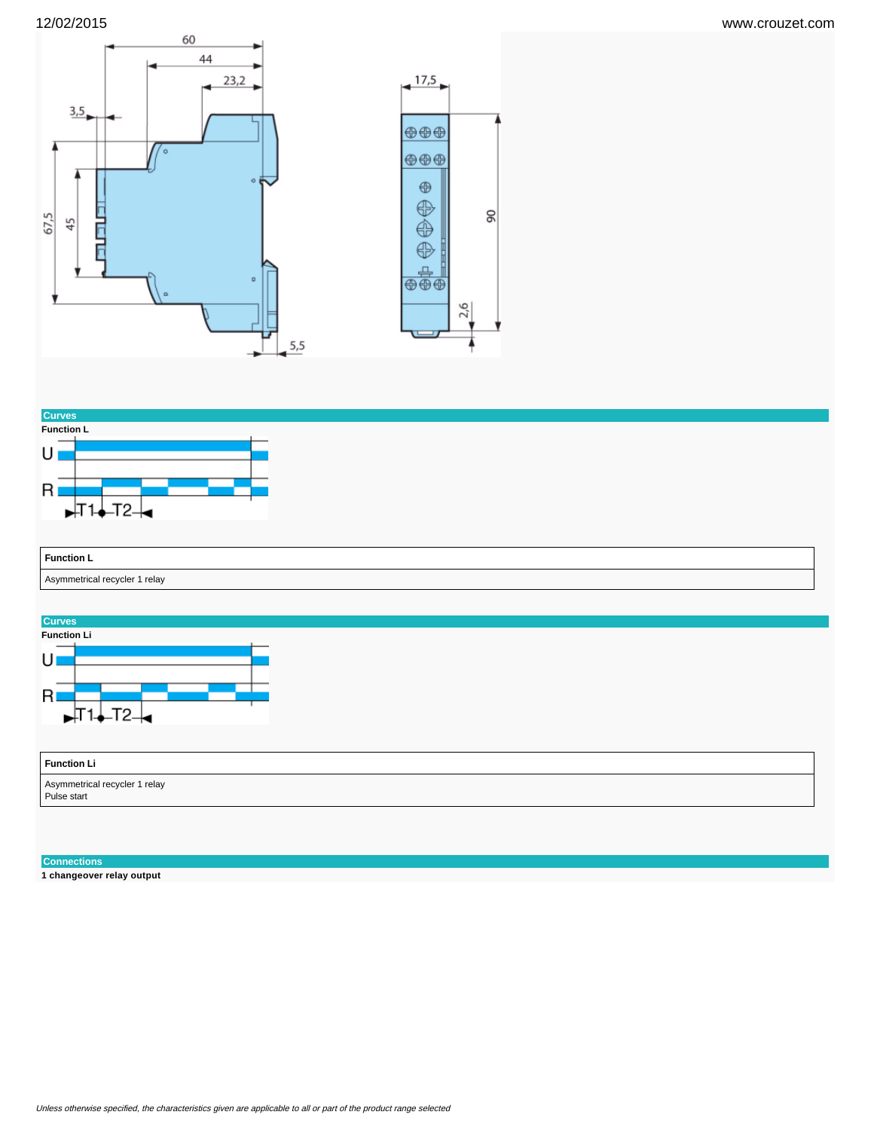





# **Connections**

**1 changeover relay output**